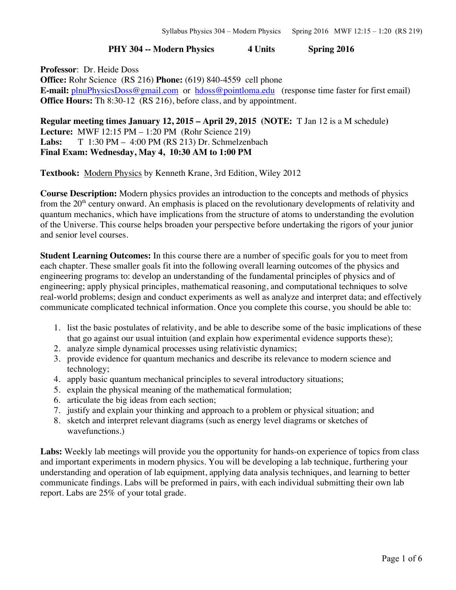## **PHY 304 -- Modern Physics 4 Units Spring 2016**

**Professor**: Dr. Heide Doss **Office:** Rohr Science (RS 216) **Phone:** (619) 840-4559 cell phone **E-mail:** plnuPhysicsDoss@gmail.com or hdoss@pointloma.edu (response time faster for first email) **Office Hours:** Th 8:30-12 (RS 216), before class, and by appointment.

**Regular meeting times January 12, 2015 – April 29, 2015 (NOTE:** T Jan 12 is a M schedule**) Lecture:** MWF 12:15 PM – 1:20 PM (Rohr Science 219) **Labs:** T 1:30 PM – 4:00 PM (RS 213) Dr. Schmelzenbach **Final Exam: Wednesday, May 4, 10:30 AM to 1:00 PM** 

**Textbook:** Modern Physics by Kenneth Krane, 3rd Edition, Wiley 2012

**Course Description:** Modern physics provides an introduction to the concepts and methods of physics from the  $20<sup>th</sup>$  century onward. An emphasis is placed on the revolutionary developments of relativity and quantum mechanics, which have implications from the structure of atoms to understanding the evolution of the Universe. This course helps broaden your perspective before undertaking the rigors of your junior and senior level courses.

**Student Learning Outcomes:** In this course there are a number of specific goals for you to meet from each chapter. These smaller goals fit into the following overall learning outcomes of the physics and engineering programs to: develop an understanding of the fundamental principles of physics and of engineering; apply physical principles, mathematical reasoning, and computational techniques to solve real-world problems; design and conduct experiments as well as analyze and interpret data; and effectively communicate complicated technical information. Once you complete this course, you should be able to:

- 1. list the basic postulates of relativity, and be able to describe some of the basic implications of these that go against our usual intuition (and explain how experimental evidence supports these);
- 2. analyze simple dynamical processes using relativistic dynamics;
- 3. provide evidence for quantum mechanics and describe its relevance to modern science and technology;
- 4. apply basic quantum mechanical principles to several introductory situations;
- 5. explain the physical meaning of the mathematical formulation;
- 6. articulate the big ideas from each section;
- 7. justify and explain your thinking and approach to a problem or physical situation; and
- 8. sketch and interpret relevant diagrams (such as energy level diagrams or sketches of wavefunctions.)

**Labs:** Weekly lab meetings will provide you the opportunity for hands-on experience of topics from class and important experiments in modern physics. You will be developing a lab technique, furthering your understanding and operation of lab equipment, applying data analysis techniques, and learning to better communicate findings. Labs will be preformed in pairs, with each individual submitting their own lab report. Labs are 25% of your total grade.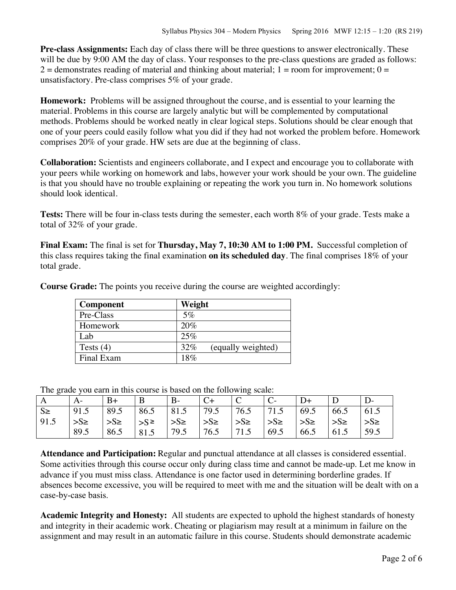**Pre-class Assignments:** Each day of class there will be three questions to answer electronically. These will be due by 9:00 AM the day of class. Your responses to the pre-class questions are graded as follows:  $2 =$  demonstrates reading of material and thinking about material; 1 = room for improvement; 0 = unsatisfactory. Pre-class comprises 5% of your grade.

**Homework:** Problems will be assigned throughout the course, and is essential to your learning the material. Problems in this course are largely analytic but will be complemented by computational methods. Problems should be worked neatly in clear logical steps. Solutions should be clear enough that one of your peers could easily follow what you did if they had not worked the problem before. Homework comprises 20% of your grade. HW sets are due at the beginning of class.

**Collaboration:** Scientists and engineers collaborate, and I expect and encourage you to collaborate with your peers while working on homework and labs, however your work should be your own. The guideline is that you should have no trouble explaining or repeating the work you turn in. No homework solutions should look identical.

**Tests:** There will be four in-class tests during the semester, each worth 8% of your grade. Tests make a total of 32% of your grade.

**Final Exam:** The final is set for **Thursday, May 7, 10:30 AM to 1:00 PM.** Successful completion of this class requires taking the final examination **on its scheduled day**. The final comprises 18% of your total grade.

| <b>Component</b> | Weight                    |
|------------------|---------------------------|
| Pre-Class        | $5\%$                     |
| Homework         | 20%                       |
| Lab              | 25%                       |
| Tests $(4)$      | 32%<br>(equally weighted) |
| Final Exam       | 18%                       |

**Course Grade:** The points you receive during the course are weighted accordingly:

The grade you earn in this course is based on the following scale:

| A       |          | $B+$      | B          | $B -$                 | $C+$          | $\overline{C}$        |                    |                       |          |         |
|---------|----------|-----------|------------|-----------------------|---------------|-----------------------|--------------------|-----------------------|----------|---------|
| $S \ge$ | 91.5     | 89.5      | 86.5       | 81.5                  | 79.5          | 76.5                  | 71.5               | 69.5                  | 66.5     | 61.5    |
| 91.5    | $>S\geq$ | $S_{\ge}$ | $ {}_{>S}$ | $\rightarrow$ S $\ge$ | $\frac{1}{5}$ | $\Rightarrow$ S $\ge$ | $\mathsf{S}_{\ge}$ | $\Rightarrow$ S $\ge$ | $>S\geq$ | $>S\ge$ |
|         | 89.5     | 86.5      | 81.5       | 79.5                  | 76.5          | 71.5                  | 69.5               | 66.5                  | 61.5     | 59.5    |

**Attendance and Participation:** Regular and punctual attendance at all classes is considered essential. Some activities through this course occur only during class time and cannot be made-up. Let me know in advance if you must miss class. Attendance is one factor used in determining borderline grades. If absences become excessive, you will be required to meet with me and the situation will be dealt with on a case-by-case basis.

**Academic Integrity and Honesty:** All students are expected to uphold the highest standards of honesty and integrity in their academic work. Cheating or plagiarism may result at a minimum in failure on the assignment and may result in an automatic failure in this course. Students should demonstrate academic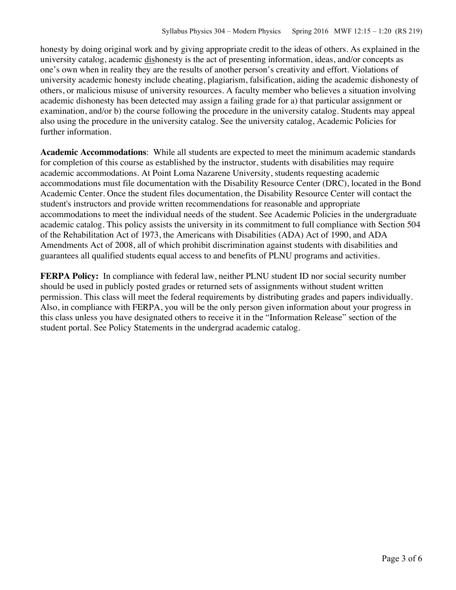honesty by doing original work and by giving appropriate credit to the ideas of others. As explained in the university catalog, academic dishonesty is the act of presenting information, ideas, and/or concepts as one's own when in reality they are the results of another person's creativity and effort. Violations of university academic honesty include cheating, plagiarism, falsification, aiding the academic dishonesty of others, or malicious misuse of university resources. A faculty member who believes a situation involving academic dishonesty has been detected may assign a failing grade for a) that particular assignment or examination, and/or b) the course following the procedure in the university catalog. Students may appeal also using the procedure in the university catalog. See the university catalog, Academic Policies for further information.

**Academic Accommodations**: While all students are expected to meet the minimum academic standards for completion of this course as established by the instructor, students with disabilities may require academic accommodations. At Point Loma Nazarene University, students requesting academic accommodations must file documentation with the Disability Resource Center (DRC), located in the Bond Academic Center. Once the student files documentation, the Disability Resource Center will contact the student's instructors and provide written recommendations for reasonable and appropriate accommodations to meet the individual needs of the student. See Academic Policies in the undergraduate academic catalog. This policy assists the university in its commitment to full compliance with Section 504 of the Rehabilitation Act of 1973, the Americans with Disabilities (ADA) Act of 1990, and ADA Amendments Act of 2008, all of which prohibit discrimination against students with disabilities and guarantees all qualified students equal access to and benefits of PLNU programs and activities.

**FERPA Policy:** In compliance with federal law, neither PLNU student ID nor social security number should be used in publicly posted grades or returned sets of assignments without student written permission. This class will meet the federal requirements by distributing grades and papers individually. Also, in compliance with FERPA, you will be the only person given information about your progress in this class unless you have designated others to receive it in the "Information Release" section of the student portal. See Policy Statements in the undergrad academic catalog.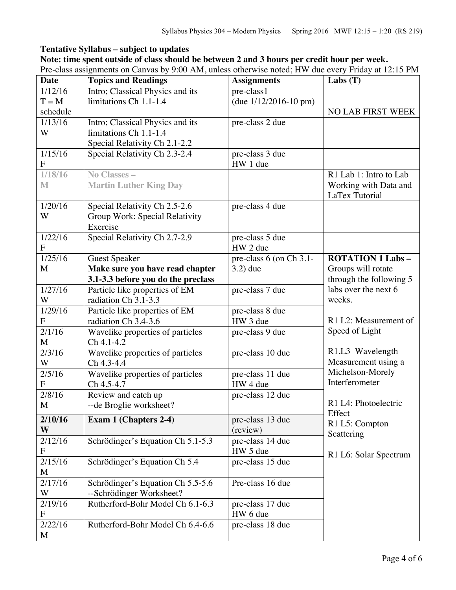## **Tentative Syllabus – subject to updates**

## **Note: time spent outside of class should be between 2 and 3 hours per credit hour per week.**

Pre-class assignments on Canvas by 9:00 AM, unless otherwise noted; HW due every Friday at 12:15 PM

| <b>Date</b>          | <b>Topics and Readings</b>         | <b>Assignments</b>                    | Labs $(T)$                          |
|----------------------|------------------------------------|---------------------------------------|-------------------------------------|
| 1/12/16              | Intro; Classical Physics and its   | pre-class1                            |                                     |
| $T = M$              | limitations Ch 1.1-1.4             | (due $1/12/2016 - 10$ pm)             |                                     |
| schedule             |                                    |                                       | <b>NO LAB FIRST WEEK</b>            |
| 1/13/16              | Intro; Classical Physics and its   | pre-class 2 due                       |                                     |
| W                    | limitations Ch 1.1-1.4             |                                       |                                     |
|                      | Special Relativity Ch 2.1-2.2      |                                       |                                     |
| 1/15/16              | Special Relativity Ch 2.3-2.4      | pre-class 3 due                       |                                     |
| $\mathbf{F}$         |                                    | HW 1 due                              |                                     |
| 1/18/16              | No Classes -                       |                                       | $\overline{R1}$ Lab 1: Intro to Lab |
| M                    | <b>Martin Luther King Day</b>      |                                       | Working with Data and               |
|                      |                                    |                                       | LaTex Tutorial                      |
| 1/20/16              | Special Relativity Ch 2.5-2.6      | pre-class 4 due                       |                                     |
| W                    | Group Work: Special Relativity     |                                       |                                     |
|                      | Exercise                           |                                       |                                     |
| 1/22/16              | Special Relativity Ch 2.7-2.9      | pre-class 5 due                       |                                     |
| F                    |                                    | HW 2 due                              |                                     |
| 1/25/16              | <b>Guest Speaker</b>               | pre-class 6 (on Ch $3.\overline{1}$ - | <b>ROTATION 1 Labs-</b>             |
| M                    | Make sure you have read chapter    | $3.2)$ due                            | Groups will rotate                  |
|                      | 3.1-3.3 before you do the preclass |                                       | through the following 5             |
| 1/27/16              | Particle like properties of EM     | pre-class 7 due                       | labs over the next 6                |
| W                    | radiation Ch 3.1-3.3               |                                       | weeks.                              |
| 1/29/16              | Particle like properties of EM     | pre-class 8 due                       |                                     |
| F                    | radiation Ch 3.4-3.6               | HW 3 due                              | R1 L2: Measurement of               |
| 2/1/16               | Wavelike properties of particles   | pre-class 9 due                       | Speed of Light                      |
| M                    | $Ch 4.1 - 4.2$                     |                                       |                                     |
| 2/3/16               | Wavelike properties of particles   | pre-class 10 due                      | R1.L3 Wavelength                    |
| W                    | Ch 4.3-4.4                         |                                       | Measurement using a                 |
| 2/5/16               | Wavelike properties of particles   | pre-class 11 due                      | Michelson-Morely                    |
| F                    | Ch 4.5-4.7                         | HW 4 due                              | Interferometer                      |
| 2/8/16               | Review and catch up                | pre-class 12 due                      |                                     |
| M                    | --de Broglie worksheet?            |                                       | R1 L4: Photoelectric                |
| 2/10/16              | Exam 1 (Chapters 2-4)              | pre-class 13 due                      | Effect                              |
| W                    |                                    | (review)                              | R1 L5: Compton                      |
| 2/12/16              | Schrödinger's Equation Ch 5.1-5.3  | pre-class 14 due                      | Scattering                          |
| F                    |                                    | HW 5 due                              |                                     |
| 2/15/16              | Schrödinger's Equation Ch 5.4      | pre-class 15 due                      | R1 L6: Solar Spectrum               |
| M                    |                                    |                                       |                                     |
| 2/17/16              | Schrödinger's Equation Ch 5.5-5.6  | Pre-class 16 due                      |                                     |
| W                    | --Schrödinger Worksheet?           |                                       |                                     |
| 2/19/16              | Rutherford-Bohr Model Ch 6.1-6.3   | pre-class 17 due                      |                                     |
| F                    |                                    | HW 6 due                              |                                     |
| $\frac{2}{2}$ /22/16 | Rutherford-Bohr Model Ch 6.4-6.6   | pre-class 18 due                      |                                     |
| M                    |                                    |                                       |                                     |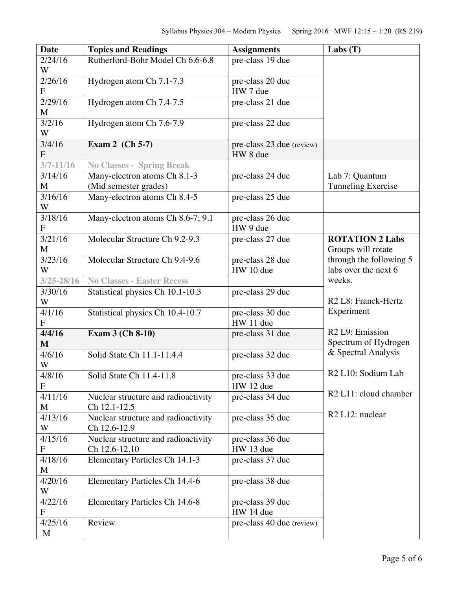| <b>Date</b>               | <b>Topics and Readings</b>                                       | <b>Assignments</b>                    | Labs $(T)$                                     |
|---------------------------|------------------------------------------------------------------|---------------------------------------|------------------------------------------------|
| 2/24/16                   | Rutherford-Bohr Model Ch 6.6-6.8                                 | pre-class 19 due                      |                                                |
| W                         |                                                                  |                                       |                                                |
| 2/26/16                   | Hydrogen atom Ch 7.1-7.3                                         | pre-class 20 due                      |                                                |
| $\overline{F}$            |                                                                  | HW 7 due                              |                                                |
| 2/29/16                   | Hydrogen atom Ch 7.4-7.5                                         | pre-class 21 due                      |                                                |
| M                         |                                                                  |                                       |                                                |
| 3/2/16                    | Hydrogen atom Ch 7.6-7.9                                         | pre-class 22 due                      |                                                |
| W                         |                                                                  |                                       |                                                |
| 3/4/16<br>$\mathbf{F}$    | Exam 2 (Ch 5-7)                                                  | pre-class 23 due (review)<br>HW 8 due |                                                |
| $3/7 - 11/16$             |                                                                  |                                       |                                                |
| 3/14/16                   | <b>No Classes - Spring Break</b><br>Many-electron atoms Ch 8.1-3 | pre-class 24 due                      | Lab 7: Quantum                                 |
| M                         | (Mid semester grades)                                            |                                       | <b>Tunneling Exercise</b>                      |
| 3/16/16                   | Many-electron atoms Ch 8.4-5                                     | pre-class 25 due                      |                                                |
| W                         |                                                                  |                                       |                                                |
| 3/18/16                   | Many-electron atoms Ch 8.6-7; 9.1                                | pre-class 26 due                      |                                                |
| $\boldsymbol{F}$          |                                                                  | HW 9 due                              |                                                |
| 3/21/16                   | Molecular Structure Ch 9.2-9.3                                   | pre-class 27 due                      | <b>ROTATION 2 Labs</b>                         |
| M                         |                                                                  |                                       | Groups will rotate                             |
| 3/23/16                   | Molecular Structure Ch 9.4-9.6                                   | pre-class 28 due                      | through the following 5                        |
| W                         |                                                                  | HW 10 due                             | labs over the next 6                           |
| $3/25 - 28/16$            | <b>No Classes - Easter Recess</b>                                |                                       | weeks.                                         |
| 3/30/16                   | Statistical physics Ch 10.1-10.3                                 | pre-class 29 due                      |                                                |
| W                         |                                                                  |                                       | R <sub>2</sub> L <sub>8</sub> : Franck-Hertz   |
| 4/1/16                    | Statistical physics Ch 10.4-10.7                                 | pre-class 30 due                      | Experiment                                     |
| $\mathbf{F}$              |                                                                  | HW 11 due                             |                                                |
| 4/4/16                    | Exam 3 (Ch 8-10)                                                 | pre-class 31 due                      | R <sub>2</sub> L <sub>9</sub> : Emission       |
| $\mathbf{M}$              |                                                                  |                                       | Spectrum of Hydrogen                           |
| 4/6/16                    | Solid State Ch 11.1-11.4.4                                       | pre-class 32 due                      | & Spectral Analysis                            |
| W                         |                                                                  |                                       |                                                |
| 4/8/16                    | Solid State Ch 11.4-11.8                                         | pre-class 33 due                      | R <sub>2</sub> L <sub>10</sub> : Sodium Lab    |
| $\mathbf F$               |                                                                  | HW 12 due                             |                                                |
| 4/11/16                   | Nuclear structure and radioactivity                              | pre-class 34 due                      | R <sub>2</sub> L <sub>11</sub> : cloud chamber |
| M                         | Ch 12.1-12.5                                                     |                                       | R <sub>2</sub> L <sub>12</sub> : nuclear       |
| 4/13/16                   | Nuclear structure and radioactivity                              | pre-class 35 due                      |                                                |
| W                         | Ch 12.6-12.9                                                     |                                       |                                                |
| 4/15/16                   | Nuclear structure and radioactivity                              | pre-class 36 due                      |                                                |
| $\mathbf F$               | Ch 12.6-12.10                                                    | HW 13 due                             |                                                |
| 4/18/16                   | Elementary Particles Ch 14.1-3                                   | pre-class 37 due                      |                                                |
| M                         |                                                                  |                                       |                                                |
| 4/20/16<br>W              | Elementary Particles Ch 14.4-6                                   | pre-class 38 due                      |                                                |
| 4/22/16                   |                                                                  |                                       |                                                |
| $\boldsymbol{\mathrm{F}}$ | Elementary Particles Ch 14.6-8                                   | pre-class 39 due<br>HW 14 due         |                                                |
| 4/25/16                   | Review                                                           | pre-class 40 due (review)             |                                                |
| M                         |                                                                  |                                       |                                                |
|                           |                                                                  |                                       |                                                |